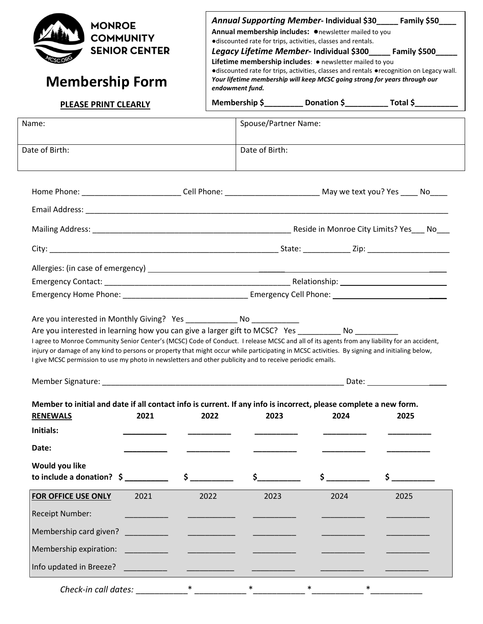| <b>COMMUNITY</b><br><b>Membership Form</b>                                                                                                                                                                                                                                                                                                                                                                                                                                                                                                                                                                                                                                                                                                                                                       | <b>MONROE</b><br><b>SENIOR CENTER</b> | Annual Supporting Member- Individual \$30____ Family \$50___<br>Annual membership includes: Onewsletter mailed to you<br>·discounted rate for trips, activities, classes and rentals.<br>Legacy Lifetime Member- Individual \$300_____ Family \$500____<br>Lifetime membership includes: • newsletter mailed to you<br>•discounted rate for trips, activities, classes and rentals •recognition on Legacy wall.<br>Your lifetime membership will keep MCSC going strong for years through our<br>endowment fund. |                                                                             |          |                                                                                                                                                                                                                                        |  |  |
|--------------------------------------------------------------------------------------------------------------------------------------------------------------------------------------------------------------------------------------------------------------------------------------------------------------------------------------------------------------------------------------------------------------------------------------------------------------------------------------------------------------------------------------------------------------------------------------------------------------------------------------------------------------------------------------------------------------------------------------------------------------------------------------------------|---------------------------------------|------------------------------------------------------------------------------------------------------------------------------------------------------------------------------------------------------------------------------------------------------------------------------------------------------------------------------------------------------------------------------------------------------------------------------------------------------------------------------------------------------------------|-----------------------------------------------------------------------------|----------|----------------------------------------------------------------------------------------------------------------------------------------------------------------------------------------------------------------------------------------|--|--|
| <b>PLEASE PRINT CLEARLY</b>                                                                                                                                                                                                                                                                                                                                                                                                                                                                                                                                                                                                                                                                                                                                                                      |                                       |                                                                                                                                                                                                                                                                                                                                                                                                                                                                                                                  | Membership \$______________ Donation \$______________ Total \$_____________ |          |                                                                                                                                                                                                                                        |  |  |
| Name:                                                                                                                                                                                                                                                                                                                                                                                                                                                                                                                                                                                                                                                                                                                                                                                            |                                       |                                                                                                                                                                                                                                                                                                                                                                                                                                                                                                                  | Spouse/Partner Name:                                                        |          |                                                                                                                                                                                                                                        |  |  |
| Date of Birth:                                                                                                                                                                                                                                                                                                                                                                                                                                                                                                                                                                                                                                                                                                                                                                                   |                                       |                                                                                                                                                                                                                                                                                                                                                                                                                                                                                                                  | Date of Birth:                                                              |          |                                                                                                                                                                                                                                        |  |  |
|                                                                                                                                                                                                                                                                                                                                                                                                                                                                                                                                                                                                                                                                                                                                                                                                  |                                       |                                                                                                                                                                                                                                                                                                                                                                                                                                                                                                                  |                                                                             |          |                                                                                                                                                                                                                                        |  |  |
|                                                                                                                                                                                                                                                                                                                                                                                                                                                                                                                                                                                                                                                                                                                                                                                                  |                                       |                                                                                                                                                                                                                                                                                                                                                                                                                                                                                                                  |                                                                             |          |                                                                                                                                                                                                                                        |  |  |
|                                                                                                                                                                                                                                                                                                                                                                                                                                                                                                                                                                                                                                                                                                                                                                                                  |                                       |                                                                                                                                                                                                                                                                                                                                                                                                                                                                                                                  |                                                                             |          |                                                                                                                                                                                                                                        |  |  |
|                                                                                                                                                                                                                                                                                                                                                                                                                                                                                                                                                                                                                                                                                                                                                                                                  |                                       |                                                                                                                                                                                                                                                                                                                                                                                                                                                                                                                  |                                                                             |          |                                                                                                                                                                                                                                        |  |  |
| Are you interested in learning how you can give a larger gift to MCSC? Yes ___________ No __                                                                                                                                                                                                                                                                                                                                                                                                                                                                                                                                                                                                                                                                                                     |                                       |                                                                                                                                                                                                                                                                                                                                                                                                                                                                                                                  |                                                                             |          |                                                                                                                                                                                                                                        |  |  |
| I agree to Monroe Community Senior Center's (MCSC) Code of Conduct. I release MCSC and all of its agents from any liability for an accident,<br>injury or damage of any kind to persons or property that might occur while participating in MCSC activities. By signing and initialing below,<br>I give MCSC permission to use my photo in newsletters and other publicity and to receive periodic emails.<br>Member Signature: National Accounts of the Contract of the Contract of the Contract of the Contract of the Contract of the Contract of the Contract of the Contract of the Contract of the Contract of the Contract of the Con<br>Member to initial and date if all contact info is current. If any info is incorrect, please complete a new form.<br><b>RENEWALS</b><br>Initials: | 2021                                  | 2022                                                                                                                                                                                                                                                                                                                                                                                                                                                                                                             | 2023                                                                        | 2024     | Date: the contract of the contract of the contract of the contract of the contract of the contract of the contract of the contract of the contract of the contract of the contract of the contract of the contract of the cont<br>2025 |  |  |
| Date:<br>Would you like                                                                                                                                                                                                                                                                                                                                                                                                                                                                                                                                                                                                                                                                                                                                                                          |                                       |                                                                                                                                                                                                                                                                                                                                                                                                                                                                                                                  |                                                                             |          |                                                                                                                                                                                                                                        |  |  |
| to include a donation? $\zeta$ $\zeta$ $\zeta$                                                                                                                                                                                                                                                                                                                                                                                                                                                                                                                                                                                                                                                                                                                                                   |                                       |                                                                                                                                                                                                                                                                                                                                                                                                                                                                                                                  |                                                                             | $\sharp$ | $\sharp$ and $\sharp$                                                                                                                                                                                                                  |  |  |
| FOR OFFICE USE ONLY                                                                                                                                                                                                                                                                                                                                                                                                                                                                                                                                                                                                                                                                                                                                                                              | 2021                                  | 2022                                                                                                                                                                                                                                                                                                                                                                                                                                                                                                             | 2023                                                                        | 2024     | 2025                                                                                                                                                                                                                                   |  |  |
| <b>Receipt Number:</b>                                                                                                                                                                                                                                                                                                                                                                                                                                                                                                                                                                                                                                                                                                                                                                           |                                       |                                                                                                                                                                                                                                                                                                                                                                                                                                                                                                                  |                                                                             |          |                                                                                                                                                                                                                                        |  |  |
| Membership card given?<br>Membership expiration: __________                                                                                                                                                                                                                                                                                                                                                                                                                                                                                                                                                                                                                                                                                                                                      |                                       | the control of the control of the                                                                                                                                                                                                                                                                                                                                                                                                                                                                                |                                                                             |          |                                                                                                                                                                                                                                        |  |  |